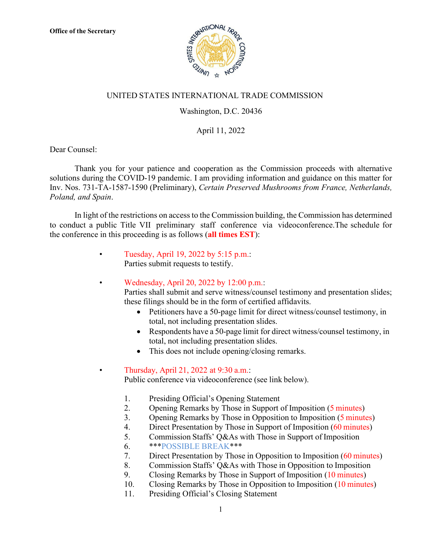

## UNITED STATES INTERNATIONAL TRADE COMMISSION

## Washington, D.C. 20436

## April 11, 2022

Dear Counsel:

Thank you for your patience and cooperation as the Commission proceeds with alternative solutions during the COVID-19 pandemic. I am providing information and guidance on this matter for Inv. Nos. 731-TA-1587-1590 (Preliminary), *Certain Preserved Mushrooms from France, Netherlands, Poland, and Spain*.

In light of the restrictions on access to the Commission building, the Commission has determined to conduct a public Title VII preliminary staff conference via videoconference.The schedule for the conference in this proceeding is as follows (**all times EST**):

- Tuesday, April 19, 2022 by 5:15 p.m.: Parties submit requests to testify.
- Wednesday, April 20, 2022 by 12:00 p.m.:

Parties shall submit and serve witness/counsel testimony and presentation slides; these filings should be in the form of certified affidavits.

- Petitioners have a 50-page limit for direct witness/counsel testimony, in total, not including presentation slides.
- Respondents have a 50-page limit for direct witness/counsel testimony, in total, not including presentation slides.
- This does not include opening/closing remarks.

## • Thursday, April 21, 2022 at 9:30 a.m.:

Public conference via videoconference (see link below).

- 1. Presiding Official's Opening Statement
- 2. Opening Remarks by Those in Support of Imposition (5 minutes)
- 3. Opening Remarks by Those in Opposition to Imposition (5 minutes)
- 4. Direct Presentation by Those in Support of Imposition (60 minutes)
- 5. Commission Staffs' Q&As with Those in Support of Imposition
- 6. \*\*\*POSSIBLE BREAK\*\*\*
- 7. Direct Presentation by Those in Opposition to Imposition (60 minutes)
- 8. Commission Staffs' Q&As with Those in Opposition to Imposition
- 9. Closing Remarks by Those in Support of Imposition (10 minutes)
- 10. Closing Remarks by Those in Opposition to Imposition (10 minutes)
- 11. Presiding Official's Closing Statement